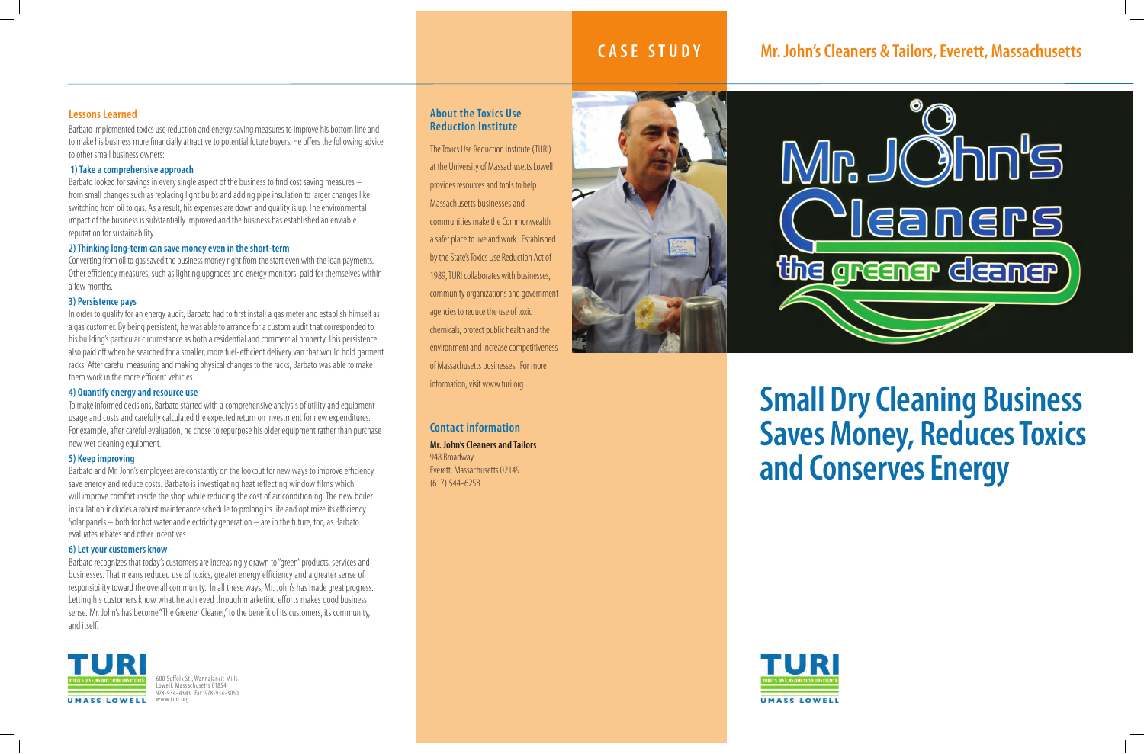# **Small Dry Cleaning Business Saves Money, Reduces Toxics and Conserves Energy**



## **About the Toxics Use Reduction Institute**

600 Suffolk St., Wannalancit Mills Lowell, Massachusetts 01854 978-934- 4343 Fax: 978-934-3050 www.turi.org

The Toxics Use Reduction Institute (TURI) at the University of Massachusetts Lowell provides resources and tools to help Massachusetts businesses and communities make the Commonwealth a safer place to live and work. Established by the State's Toxics Use Reduction Act of 1989, TURI collaborates with businesses, community organizations and government agencies to reduce the use of toxic chemicals, protect public health and the environment and increase competitiveness of Massachusetts businesses. For more information, visit www.turi.org.

**Contact information Mr. John's Cleaners and Tailors** 948 Broadway Everett, Massachusetts 02149 (617) 544-6258







## **Lessons Learned**

Barbato implemented toxics use reduction and energy saving measures to improve his bottom line and to make his business more financially attractive to potential future buyers. He offers the following advice to other small business owners:

### **1) Take a comprehensive approach**

Barbato looked for savings in every single aspect of the business to find cost saving measures – from small changes such as replacing light bulbs and adding pipe insulation to larger changes like switching from oil to gas. As a result, his expenses are down and quality is up. The environmental impact of the business is substantially improved and the business has established an enviable reputation for sustainability.

### **2) Thinking long-term can save money even in the short-term**

Converting from oil to gas saved the business money right from the start even with the loan payments. Other efficiency measures, such as lighting upgrades and energy monitors, paid for themselves within a few months.

#### **3) Persistence pays**

In order to qualify for an energy audit, Barbato had to first install a gas meter and establish himself as a gas customer. By being persistent, he was able to arrange for a custom audit that corresponded to his building's particular circumstance as both a residential and commercial property. This persistence also paid off when he searched for a smaller, more fuel-efficient delivery van that would hold garment racks. After careful measuring and making physical changes to the racks, Barbato was able to make them work in the more efficient vehicles.

#### **4) Quantify energy and resource use**

To make informed decisions, Barbato started with a comprehensive analysis of utility and equipment usage and costs and carefully calculated the expected return on investment for new expenditures. For example, after careful evaluation, he chose to repurpose his older equipment rather than purchase new wet cleaning equipment.

#### **5) Keep improving**

Barbato and Mr. John's employees are constantly on the lookout for new ways to improve efficiency, save energy and reduce costs. Barbato is investigating heat reflecting window films which will improve comfort inside the shop while reducing the cost of air conditioning. The new boiler installation includes a robust maintenance schedule to prolong its life and optimize its efficiency. Solar panels – both for hot water and electricity generation – are in the future, too, as Barbato evaluates rebates and other incentives.

#### **6) Let your customers know**

Barbato recognizes that today's customers are increasingly drawn to "green" products, services and businesses. That means reduced use of toxics, greater energy efficiency and a greater sense of responsibility toward the overall community. In all these ways, Mr. John's has made great progress. Letting his customers know what he achieved through marketing efforts makes good business sense. Mr. John's has become "The Greener Cleaner," to the benefit of its customers, its community, and itself.



# **CASE STUDY Mr. John's Cleaners & Tailors, Everett, Massachusetts**